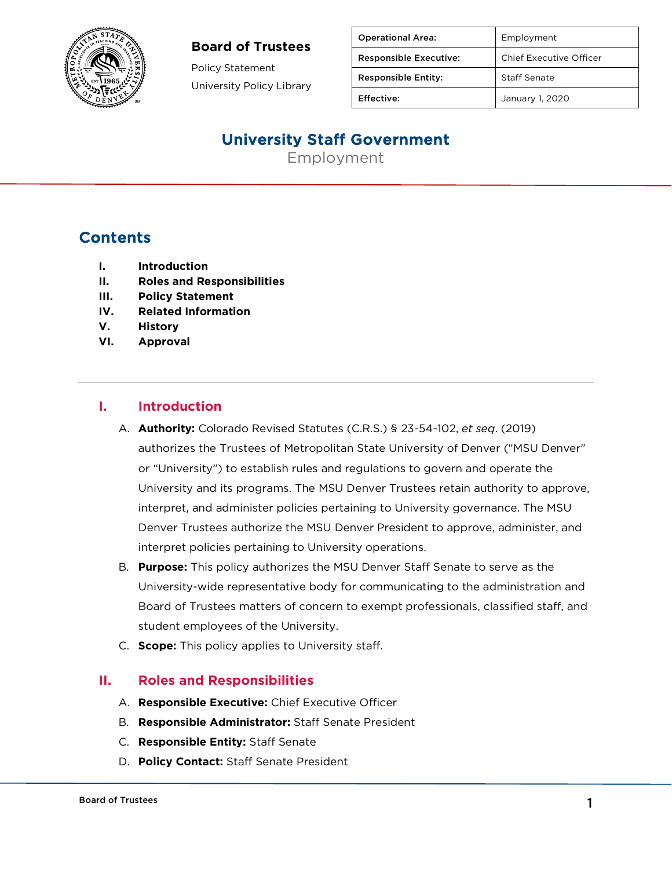

#### **Board of Trustees**

Policy Statement University Policy Library

| <b>Operational Area:</b>      | Employment              |
|-------------------------------|-------------------------|
| <b>Responsible Executive:</b> | Chief Executive Officer |
| <b>Responsible Entity:</b>    | Staff Senate            |
| Effective:                    | January 1, 2020         |

## University Staff Government

Employment

## **Contents**

- **I. Introduction**
- **II. Roles and Responsibilities**
- **III. Policy Statement**
- **IV. Related Information**
- **V. History**
- **VI. Approval**

#### **I. Introduction**

- A. **Authority:** Colorado Revised Statutes (C.R.S.) § 23-54-102, *et seq*. (2019) authorizes the Trustees of Metropolitan State University of Denver ("MSU Denver" or "University") to establish rules and regulations to govern and operate the University and its programs. The MSU Denver Trustees retain authority to approve, interpret, and administer policies pertaining to University governance. The MSU Denver Trustees authorize the MSU Denver President to approve, administer, and interpret policies pertaining to University operations.
- B. **Purpose:** This policy authorizes the MSU Denver Staff Senate to serve as the University-wide representative body for communicating to the administration and Board of Trustees matters of concern to exempt professionals, classified staff, and student employees of the University.
- C. **Scope:** This policy applies to University staff.

#### **II. Roles and Responsibilities**

- A. **Responsible Executive:** Chief Executive Officer
- B. **Responsible Administrator:** Staff Senate President
- C. **Responsible Entity:** Staff Senate
- D. **Policy Contact:** Staff Senate President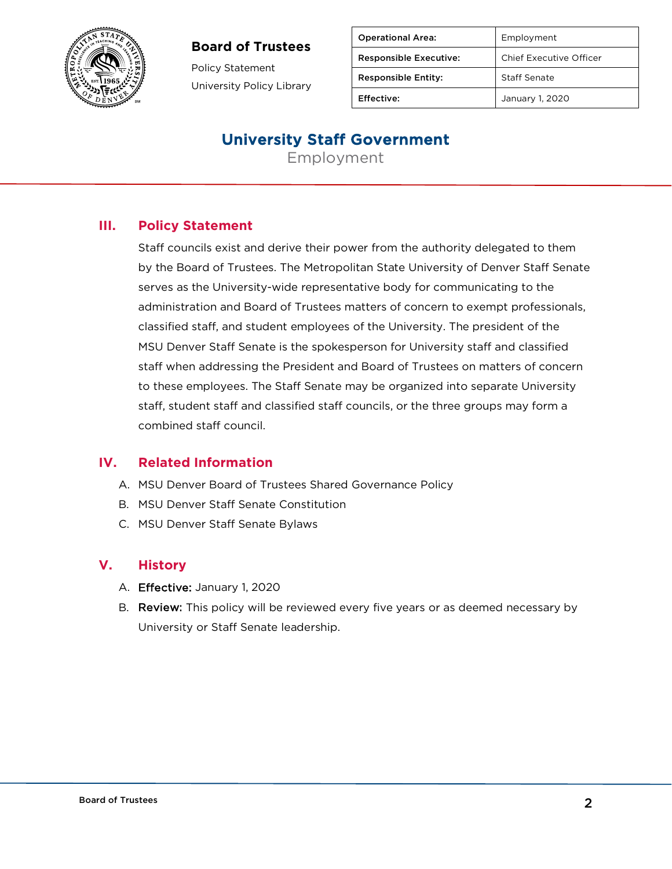### **Board of Trustees**



Policy Statement University Policy Library

| <b>Operational Area:</b>      | Employment              |
|-------------------------------|-------------------------|
| <b>Responsible Executive:</b> | Chief Executive Officer |
| <b>Responsible Entity:</b>    | Staff Senate            |
| Effective:                    | January 1, 2020         |

## University Staff Government

Employment

## **III. Policy Statement**

Staff councils exist and derive their power from the authority delegated to them by the Board of Trustees. The Metropolitan State University of Denver Staff Senate serves as the University-wide representative body for communicating to the administration and Board of Trustees matters of concern to exempt professionals, classified staff, and student employees of the University. The president of the MSU Denver Staff Senate is the spokesperson for University staff and classified staff when addressing the President and Board of Trustees on matters of concern to these employees. The Staff Senate may be organized into separate University staff, student staff and classified staff councils, or the three groups may form a combined staff council.

#### **IV. Related Information**

- A. MSU Denver Board of Trustees Shared Governance Policy
- B. MSU Denver Staff Senate Constitution
- C. MSU Denver Staff Senate Bylaws

### **V. History**

- A. Effective: January 1, 2020
- B. Review: This policy will be reviewed every five years or as deemed necessary by University or Staff Senate leadership.